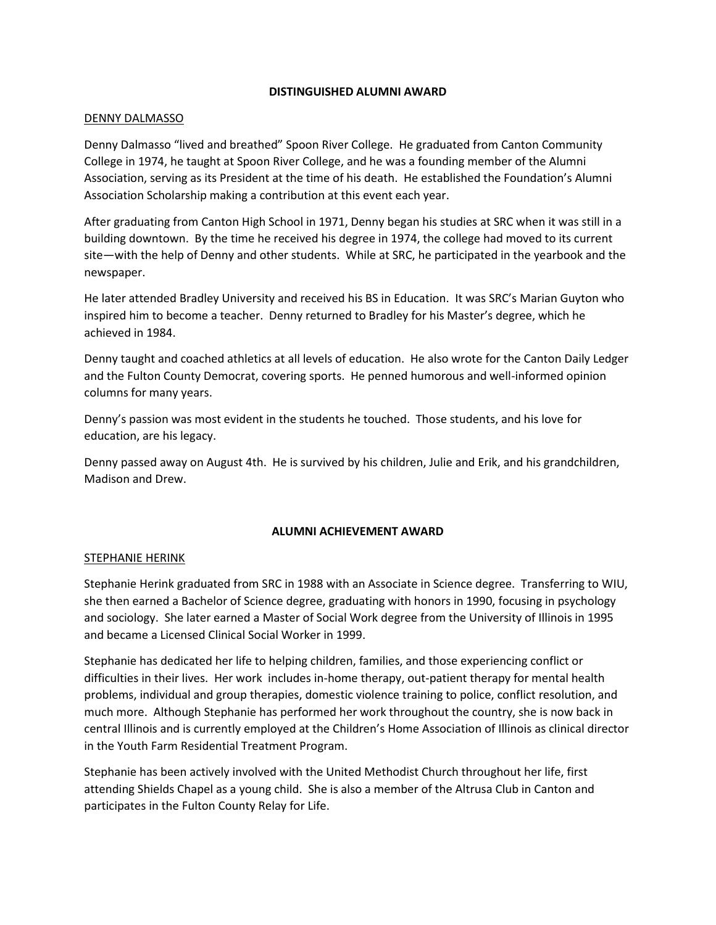#### **DISTINGUISHED ALUMNI AWARD**

#### DENNY DALMASSO

Denny Dalmasso "lived and breathed" Spoon River College. He graduated from Canton Community College in 1974, he taught at Spoon River College, and he was a founding member of the Alumni Association, serving as its President at the time of his death. He established the Foundation's Alumni Association Scholarship making a contribution at this event each year.

After graduating from Canton High School in 1971, Denny began his studies at SRC when it was still in a building downtown. By the time he received his degree in 1974, the college had moved to its current site—with the help of Denny and other students. While at SRC, he participated in the yearbook and the newspaper.

He later attended Bradley University and received his BS in Education. It was SRC's Marian Guyton who inspired him to become a teacher. Denny returned to Bradley for his Master's degree, which he achieved in 1984.

Denny taught and coached athletics at all levels of education. He also wrote for the Canton Daily Ledger and the Fulton County Democrat, covering sports. He penned humorous and well-informed opinion columns for many years.

Denny's passion was most evident in the students he touched. Those students, and his love for education, are his legacy.

Denny passed away on August 4th. He is survived by his children, Julie and Erik, and his grandchildren, Madison and Drew.

### **ALUMNI ACHIEVEMENT AWARD**

### STEPHANIE HERINK

Stephanie Herink graduated from SRC in 1988 with an Associate in Science degree. Transferring to WIU, she then earned a Bachelor of Science degree, graduating with honors in 1990, focusing in psychology and sociology. She later earned a Master of Social Work degree from the University of Illinois in 1995 and became a Licensed Clinical Social Worker in 1999.

Stephanie has dedicated her life to helping children, families, and those experiencing conflict or difficulties in their lives. Her work includes in-home therapy, out-patient therapy for mental health problems, individual and group therapies, domestic violence training to police, conflict resolution, and much more. Although Stephanie has performed her work throughout the country, she is now back in central Illinois and is currently employed at the Children's Home Association of Illinois as clinical director in the Youth Farm Residential Treatment Program.

Stephanie has been actively involved with the United Methodist Church throughout her life, first attending Shields Chapel as a young child. She is also a member of the Altrusa Club in Canton and participates in the Fulton County Relay for Life.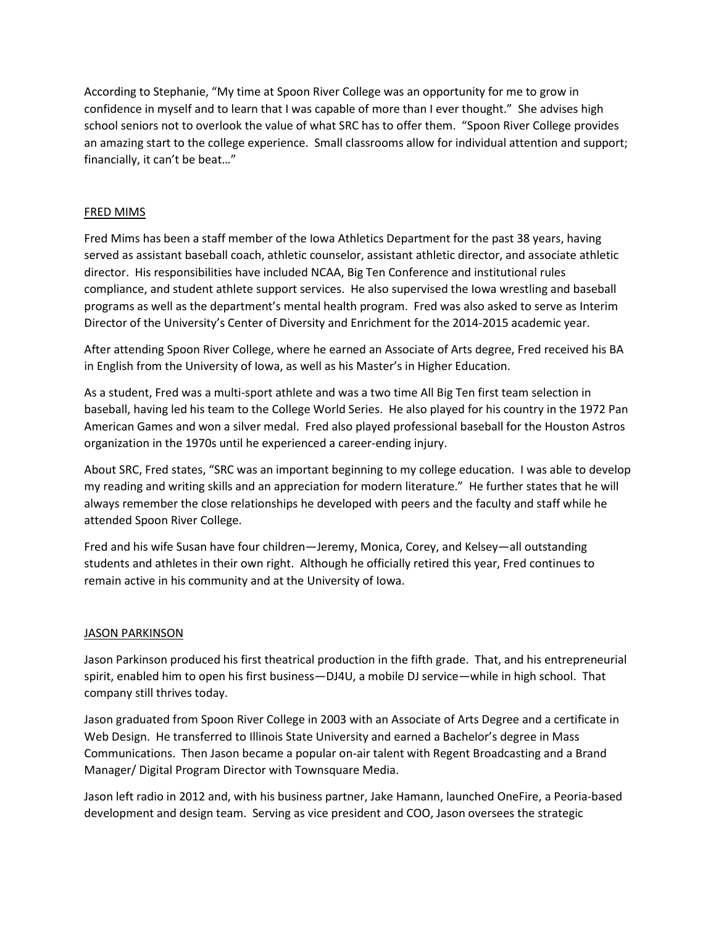According to Stephanie, "My time at Spoon River College was an opportunity for me to grow in confidence in myself and to learn that I was capable of more than I ever thought." She advises high school seniors not to overlook the value of what SRC has to offer them. "Spoon River College provides an amazing start to the college experience. Small classrooms allow for individual attention and support; financially, it can't be beat…"

## FRED MIMS

Fred Mims has been a staff member of the Iowa Athletics Department for the past 38 years, having served as assistant baseball coach, athletic counselor, assistant athletic director, and associate athletic director. His responsibilities have included NCAA, Big Ten Conference and institutional rules compliance, and student athlete support services. He also supervised the Iowa wrestling and baseball programs as well as the department's mental health program. Fred was also asked to serve as Interim Director of the University's Center of Diversity and Enrichment for the 2014-2015 academic year.

After attending Spoon River College, where he earned an Associate of Arts degree, Fred received his BA in English from the University of Iowa, as well as his Master's in Higher Education.

As a student, Fred was a multi-sport athlete and was a two time All Big Ten first team selection in baseball, having led his team to the College World Series. He also played for his country in the 1972 Pan American Games and won a silver medal. Fred also played professional baseball for the Houston Astros organization in the 1970s until he experienced a career-ending injury.

About SRC, Fred states, "SRC was an important beginning to my college education. I was able to develop my reading and writing skills and an appreciation for modern literature." He further states that he will always remember the close relationships he developed with peers and the faculty and staff while he attended Spoon River College.

Fred and his wife Susan have four children—Jeremy, Monica, Corey, and Kelsey—all outstanding students and athletes in their own right. Although he officially retired this year, Fred continues to remain active in his community and at the University of Iowa.

### JASON PARKINSON

Jason Parkinson produced his first theatrical production in the fifth grade. That, and his entrepreneurial spirit, enabled him to open his first business—DJ4U, a mobile DJ service—while in high school. That company still thrives today.

Jason graduated from Spoon River College in 2003 with an Associate of Arts Degree and a certificate in Web Design. He transferred to Illinois State University and earned a Bachelor's degree in Mass Communications. Then Jason became a popular on-air talent with Regent Broadcasting and a Brand Manager/ Digital Program Director with Townsquare Media.

Jason left radio in 2012 and, with his business partner, Jake Hamann, launched OneFire, a Peoria-based development and design team. Serving as vice president and COO, Jason oversees the strategic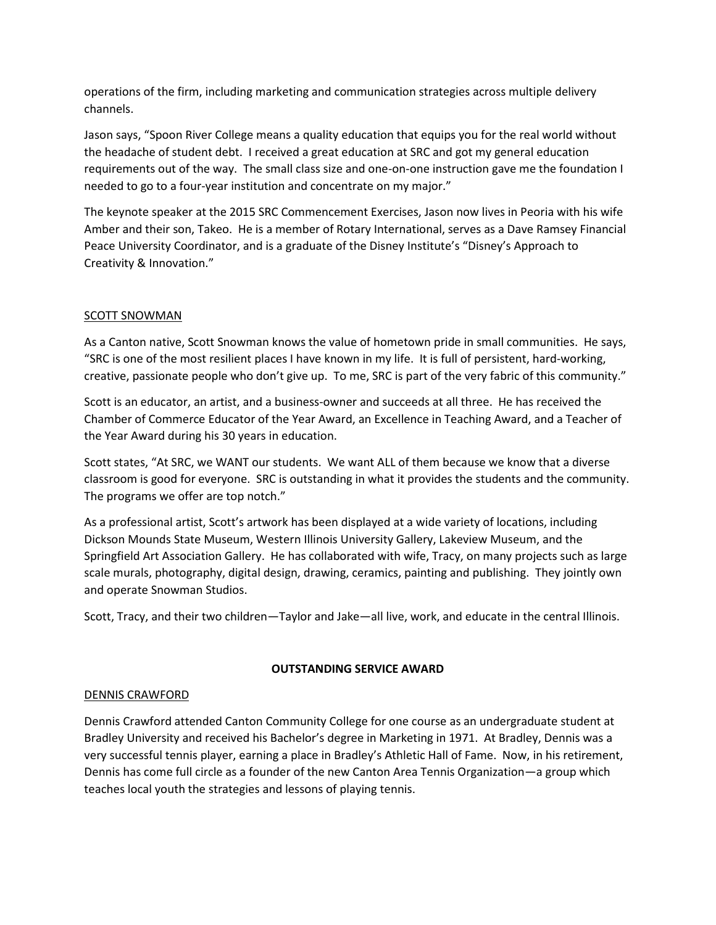operations of the firm, including marketing and communication strategies across multiple delivery channels.

Jason says, "Spoon River College means a quality education that equips you for the real world without the headache of student debt. I received a great education at SRC and got my general education requirements out of the way. The small class size and one-on-one instruction gave me the foundation I needed to go to a four-year institution and concentrate on my major."

The keynote speaker at the 2015 SRC Commencement Exercises, Jason now lives in Peoria with his wife Amber and their son, Takeo. He is a member of Rotary International, serves as a Dave Ramsey Financial Peace University Coordinator, and is a graduate of the Disney Institute's "Disney's Approach to Creativity & Innovation."

# SCOTT SNOWMAN

As a Canton native, Scott Snowman knows the value of hometown pride in small communities. He says, "SRC is one of the most resilient places I have known in my life. It is full of persistent, hard-working, creative, passionate people who don't give up. To me, SRC is part of the very fabric of this community."

Scott is an educator, an artist, and a business-owner and succeeds at all three. He has received the Chamber of Commerce Educator of the Year Award, an Excellence in Teaching Award, and a Teacher of the Year Award during his 30 years in education.

Scott states, "At SRC, we WANT our students. We want ALL of them because we know that a diverse classroom is good for everyone. SRC is outstanding in what it provides the students and the community. The programs we offer are top notch."

As a professional artist, Scott's artwork has been displayed at a wide variety of locations, including Dickson Mounds State Museum, Western Illinois University Gallery, Lakeview Museum, and the Springfield Art Association Gallery. He has collaborated with wife, Tracy, on many projects such as large scale murals, photography, digital design, drawing, ceramics, painting and publishing. They jointly own and operate Snowman Studios.

Scott, Tracy, and their two children—Taylor and Jake—all live, work, and educate in the central Illinois.

### **OUTSTANDING SERVICE AWARD**

### DENNIS CRAWFORD

Dennis Crawford attended Canton Community College for one course as an undergraduate student at Bradley University and received his Bachelor's degree in Marketing in 1971. At Bradley, Dennis was a very successful tennis player, earning a place in Bradley's Athletic Hall of Fame. Now, in his retirement, Dennis has come full circle as a founder of the new Canton Area Tennis Organization—a group which teaches local youth the strategies and lessons of playing tennis.